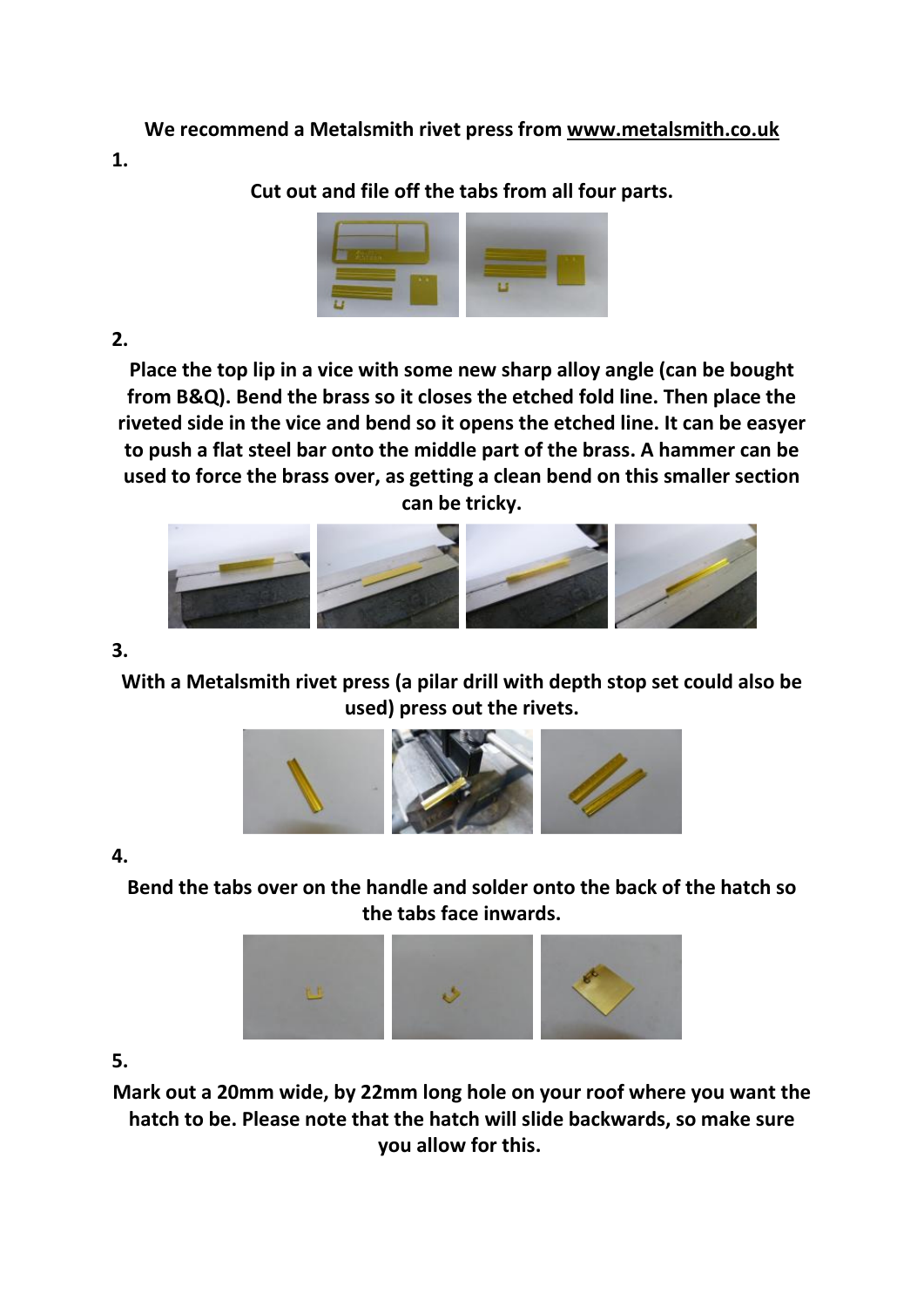**We recommend a Metalsmith rivet press from www.metalsmith.co.uk**

**1.** 

**Cut out and file off the tabs from all four parts.**



## **2.**

**Place the top lip in a vice with some new sharp alloy angle (can be bought from B&Q). Bend the brass so it closes the etched fold line. Then place the riveted side in the vice and bend so it opens the etched line. It can be easyer to push a flat steel bar onto the middle part of the brass. A hammer can be used to force the brass over, as getting a clean bend on this smaller section can be tricky.**



**3.** 

**With a Metalsmith rivet press (a pilar drill with depth stop set could also be used) press out the rivets.**



## **4.**

**Bend the tabs over on the handle and solder onto the back of the hatch so the tabs face inwards.**



## **5.**

**Mark out a 20mm wide, by 22mm long hole on your roof where you want the hatch to be. Please note that the hatch will slide backwards, so make sure you allow for this.**